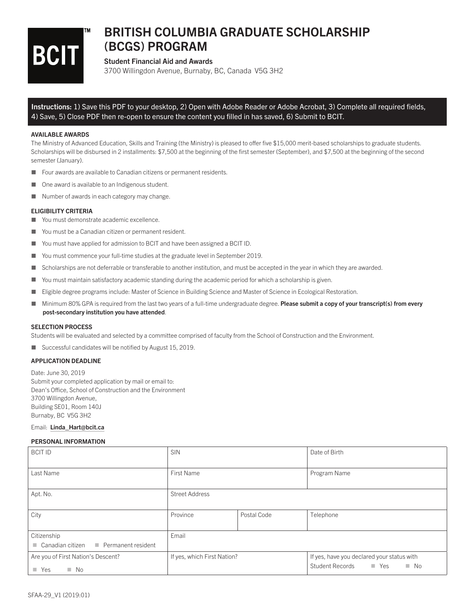

# BRITISH COLUMBIA GRADUATE SCHOLARSHIP (BCGS) PROGRAM

# Student Financial Aid and Awards

3700 Willingdon Avenue, Burnaby, BC, Canada V5G 3H2

Instructions: 1) Save this PDF to your desktop, 2) Open with Adobe Reader or Adobe Acrobat, 3) Complete all required fields, 4) Save, 5) Close PDF then re-open to ensure the content you fi lled in has saved, 6) Submit to BCIT.

#### AVAILABLE AWARDS

The Ministry of Advanced Education, Skills and Training (the Ministry) is pleased to offer five \$15,000 merit-based scholarships to graduate students. Scholarships will be disbursed in 2 installments: \$7,500 at the beginning of the first semester (September), and \$7,500 at the beginning of the second semester (January).

- Four awards are available to Canadian citizens or permanent residents.
- One award is available to an Indigenous student.
- Number of awards in each category may change.

## ELIGIBILITY CRITERIA

- You must demonstrate academic excellence.
- You must be a Canadian citizen or permanent resident.
- You must have applied for admission to BCIT and have been assigned a BCIT ID.
- You must commence your full-time studies at the graduate level in September 2019.
- Scholarships are not deferrable or transferable to another institution, and must be accepted in the year in which they are awarded.
- You must maintain satisfactory academic standing during the academic period for which a scholarship is given.
- Eligible degree programs include: Master of Science in Building Science and Master of Science in Ecological Restoration.
- Minimum 80% GPA is required from the last two years of a full-time undergraduate degree. Please submit a copy of your transcript(s) from every post-secondary institution you have attended.

#### SELECTION PROCESS

Students will be evaluated and selected by a committee comprised of faculty from the School of Construction and the Environment.

Successful candidates will be notified by August  $15$ , 2019.

## APPLICATION DEADLINE

Date: June 30, 2019 Submit your completed application by mail or email to: Dean's Office, School of Construction and the Environment 3700 Willingdon Avenue, Building SE01, Room 140J Burnaby, BC V5G 3H2

Email: Linda\_Hart@bcit.ca

#### PERSONAL INFORMATION

| <b>BCIT ID</b>                                                                | <b>SIN</b>                  |             | Date of Birth                                                                    |
|-------------------------------------------------------------------------------|-----------------------------|-------------|----------------------------------------------------------------------------------|
| Last Name                                                                     | <b>First Name</b>           |             | Program Name                                                                     |
| Apt. No.                                                                      | <b>Street Address</b>       |             |                                                                                  |
| City                                                                          | Province                    | Postal Code | Telephone                                                                        |
| Citizenship<br>Permanent resident<br>$\blacksquare$ Canadian citizen          | Email                       |             |                                                                                  |
| Are you of First Nation's Descent?<br>$\blacksquare$ Yes<br>$\blacksquare$ No | If yes, which First Nation? |             | If yes, have you declared your status with<br>Student Records ■ Yes<br>$\Box$ No |